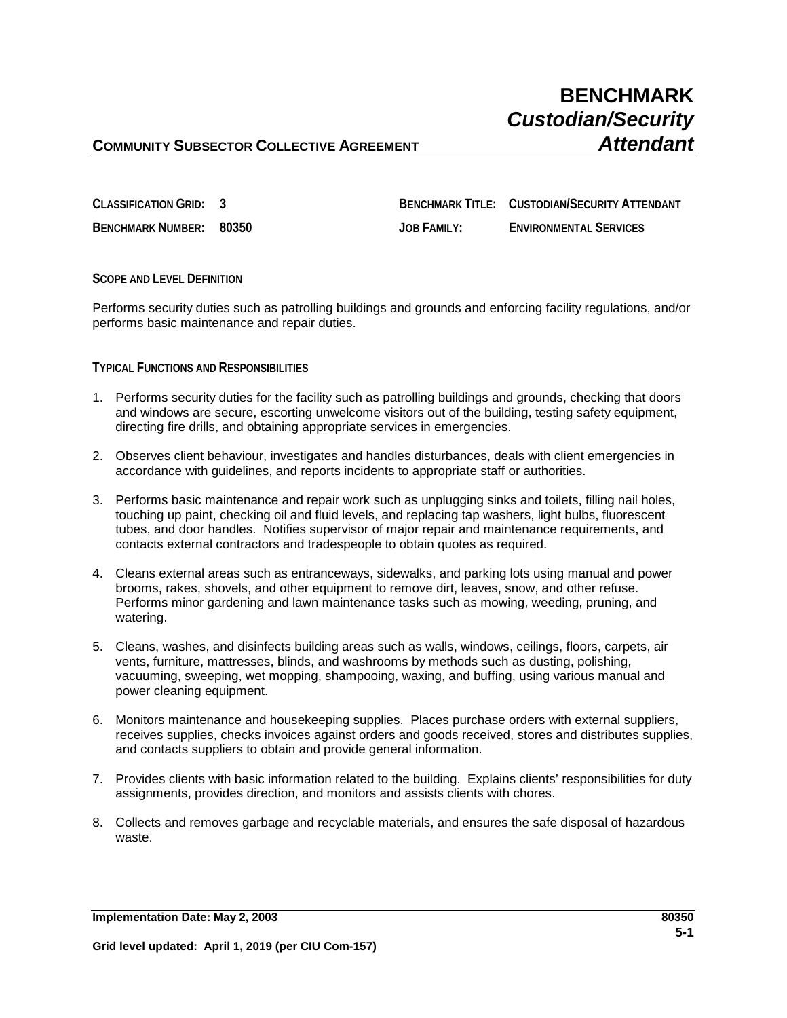# **BENCHMARK** *Custodian/Security*

## **COMMUNITY SUBSECTOR COLLECTIVE AGREEMENT** *COMMUNITY SUBSECTOR COLLECTIVE AGREEMENT*

**CLASSIFICATION GRID: 3 BENCHMARK TITLE: CUSTODIAN/SECURITY ATTENDANT BENCHMARK NUMBER: 80350 JOB FAMILY: ENVIRONMENTAL SERVICES**

## **SCOPE AND LEVEL DEFINITION**

Performs security duties such as patrolling buildings and grounds and enforcing facility regulations, and/or performs basic maintenance and repair duties.

## **TYPICAL FUNCTIONS AND RESPONSIBILITIES**

- 1. Performs security duties for the facility such as patrolling buildings and grounds, checking that doors and windows are secure, escorting unwelcome visitors out of the building, testing safety equipment, directing fire drills, and obtaining appropriate services in emergencies.
- 2. Observes client behaviour, investigates and handles disturbances, deals with client emergencies in accordance with guidelines, and reports incidents to appropriate staff or authorities.
- 3. Performs basic maintenance and repair work such as unplugging sinks and toilets, filling nail holes, touching up paint, checking oil and fluid levels, and replacing tap washers, light bulbs, fluorescent tubes, and door handles. Notifies supervisor of major repair and maintenance requirements, and contacts external contractors and tradespeople to obtain quotes as required.
- 4. Cleans external areas such as entranceways, sidewalks, and parking lots using manual and power brooms, rakes, shovels, and other equipment to remove dirt, leaves, snow, and other refuse. Performs minor gardening and lawn maintenance tasks such as mowing, weeding, pruning, and watering.
- 5. Cleans, washes, and disinfects building areas such as walls, windows, ceilings, floors, carpets, air vents, furniture, mattresses, blinds, and washrooms by methods such as dusting, polishing, vacuuming, sweeping, wet mopping, shampooing, waxing, and buffing, using various manual and power cleaning equipment.
- 6. Monitors maintenance and housekeeping supplies. Places purchase orders with external suppliers, receives supplies, checks invoices against orders and goods received, stores and distributes supplies, and contacts suppliers to obtain and provide general information.
- 7. Provides clients with basic information related to the building. Explains clients' responsibilities for duty assignments, provides direction, and monitors and assists clients with chores.
- 8. Collects and removes garbage and recyclable materials, and ensures the safe disposal of hazardous waste.

**Implementation Date: May 2, 2003 80350**